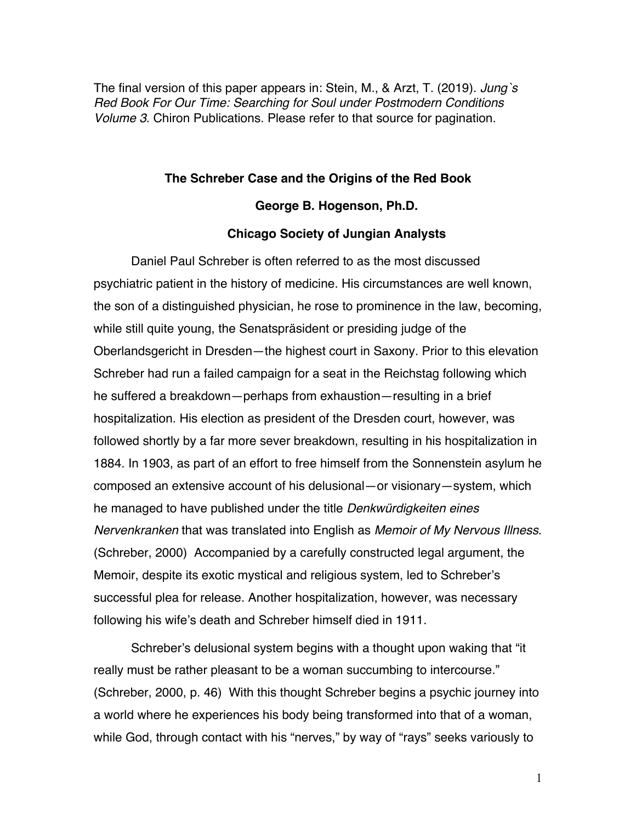The final version of this paper appears in: Stein, M., & Arzt, T. (2019). *Jung`s Red Book For Our Time: Searching for Soul under Postmodern Conditions Volume 3*. Chiron Publications. Please refer to that source for pagination.

## **The Schreber Case and the Origins of the Red Book**

## **George B. Hogenson, Ph.D.**

## **Chicago Society of Jungian Analysts**

Daniel Paul Schreber is often referred to as the most discussed psychiatric patient in the history of medicine. His circumstances are well known, the son of a distinguished physician, he rose to prominence in the law, becoming, while still quite young, the Senatspräsident or presiding judge of the Oberlandsgericht in Dresden—the highest court in Saxony. Prior to this elevation Schreber had run a failed campaign for a seat in the Reichstag following which he suffered a breakdown—perhaps from exhaustion—resulting in a brief hospitalization. His election as president of the Dresden court, however, was followed shortly by a far more sever breakdown, resulting in his hospitalization in 1884. In 1903, as part of an effort to free himself from the Sonnenstein asylum he composed an extensive account of his delusional—or visionary—system, which he managed to have published under the title *Denkwürdigkeiten eines Nervenkranken* that was translated into English as *Memoir of My Nervous Illness*. (Schreber, 2000) Accompanied by a carefully constructed legal argument, the Memoir, despite its exotic mystical and religious system, led to Schreber's successful plea for release. Another hospitalization, however, was necessary following his wife's death and Schreber himself died in 1911.

Schreber's delusional system begins with a thought upon waking that "it really must be rather pleasant to be a woman succumbing to intercourse." (Schreber, 2000, p. 46) With this thought Schreber begins a psychic journey into a world where he experiences his body being transformed into that of a woman, while God, through contact with his "nerves," by way of "rays" seeks variously to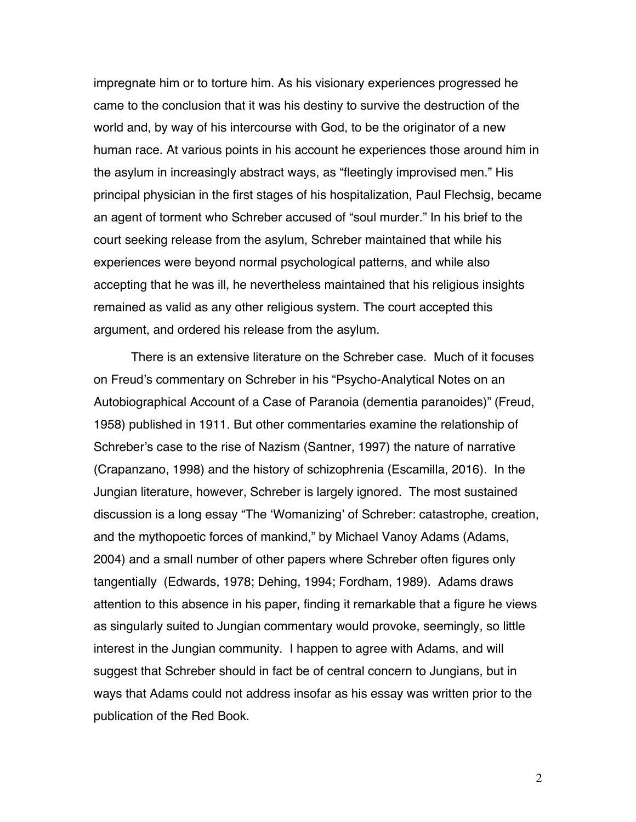impregnate him or to torture him. As his visionary experiences progressed he came to the conclusion that it was his destiny to survive the destruction of the world and, by way of his intercourse with God, to be the originator of a new human race. At various points in his account he experiences those around him in the asylum in increasingly abstract ways, as "fleetingly improvised men." His principal physician in the first stages of his hospitalization, Paul Flechsig, became an agent of torment who Schreber accused of "soul murder." In his brief to the court seeking release from the asylum, Schreber maintained that while his experiences were beyond normal psychological patterns, and while also accepting that he was ill, he nevertheless maintained that his religious insights remained as valid as any other religious system. The court accepted this argument, and ordered his release from the asylum.

There is an extensive literature on the Schreber case. Much of it focuses on Freud's commentary on Schreber in his "Psycho-Analytical Notes on an Autobiographical Account of a Case of Paranoia (dementia paranoides)" (Freud, 1958) published in 1911. But other commentaries examine the relationship of Schreber's case to the rise of Nazism (Santner, 1997) the nature of narrative (Crapanzano, 1998) and the history of schizophrenia (Escamilla, 2016). In the Jungian literature, however, Schreber is largely ignored. The most sustained discussion is a long essay "The 'Womanizing' of Schreber: catastrophe, creation, and the mythopoetic forces of mankind," by Michael Vanoy Adams (Adams, 2004) and a small number of other papers where Schreber often figures only tangentially (Edwards, 1978; Dehing, 1994; Fordham, 1989). Adams draws attention to this absence in his paper, finding it remarkable that a figure he views as singularly suited to Jungian commentary would provoke, seemingly, so little interest in the Jungian community. I happen to agree with Adams, and will suggest that Schreber should in fact be of central concern to Jungians, but in ways that Adams could not address insofar as his essay was written prior to the publication of the Red Book.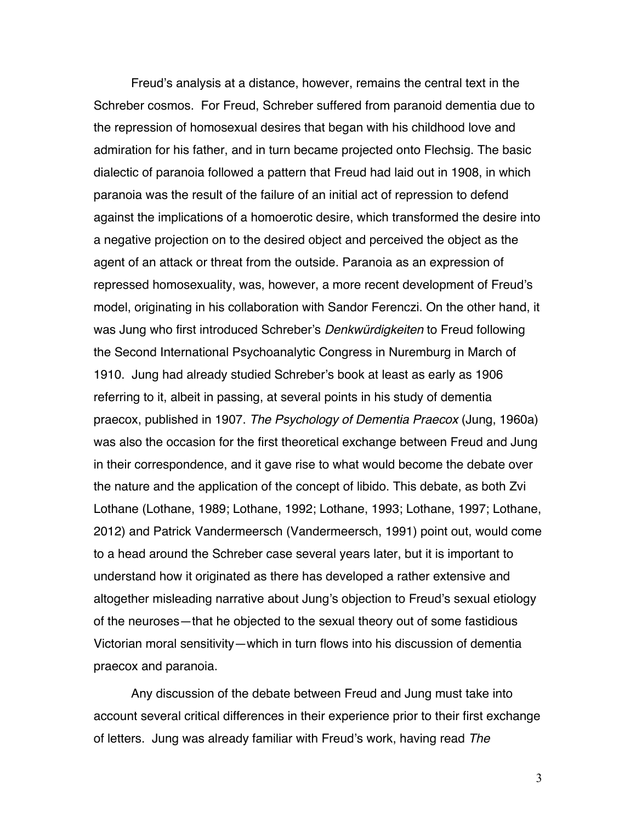Freud's analysis at a distance, however, remains the central text in the Schreber cosmos. For Freud, Schreber suffered from paranoid dementia due to the repression of homosexual desires that began with his childhood love and admiration for his father, and in turn became projected onto Flechsig. The basic dialectic of paranoia followed a pattern that Freud had laid out in 1908, in which paranoia was the result of the failure of an initial act of repression to defend against the implications of a homoerotic desire, which transformed the desire into a negative projection on to the desired object and perceived the object as the agent of an attack or threat from the outside. Paranoia as an expression of repressed homosexuality, was, however, a more recent development of Freud's model, originating in his collaboration with Sandor Ferenczi. On the other hand, it was Jung who first introduced Schreber's *Denkwürdigkeiten* to Freud following the Second International Psychoanalytic Congress in Nuremburg in March of 1910. Jung had already studied Schreber's book at least as early as 1906 referring to it, albeit in passing, at several points in his study of dementia praecox, published in 1907. *The Psychology of Dementia Praecox* (Jung, 1960a) was also the occasion for the first theoretical exchange between Freud and Jung in their correspondence, and it gave rise to what would become the debate over the nature and the application of the concept of libido. This debate, as both Zvi Lothane (Lothane, 1989; Lothane, 1992; Lothane, 1993; Lothane, 1997; Lothane, 2012) and Patrick Vandermeersch (Vandermeersch, 1991) point out, would come to a head around the Schreber case several years later, but it is important to understand how it originated as there has developed a rather extensive and altogether misleading narrative about Jung's objection to Freud's sexual etiology of the neuroses—that he objected to the sexual theory out of some fastidious Victorian moral sensitivity—which in turn flows into his discussion of dementia praecox and paranoia.

Any discussion of the debate between Freud and Jung must take into account several critical differences in their experience prior to their first exchange of letters. Jung was already familiar with Freud's work, having read *The*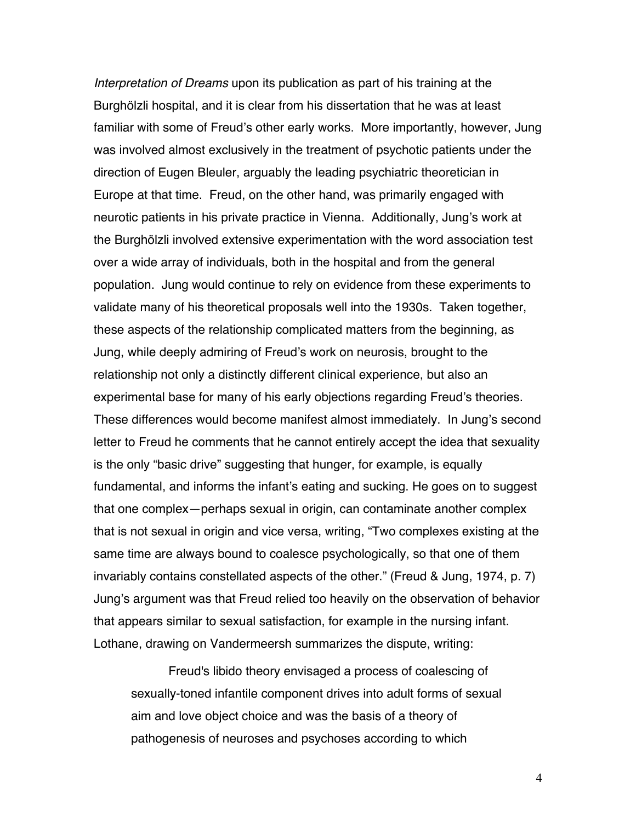*Interpretation of Dreams* upon its publication as part of his training at the Burghölzli hospital, and it is clear from his dissertation that he was at least familiar with some of Freud's other early works. More importantly, however, Jung was involved almost exclusively in the treatment of psychotic patients under the direction of Eugen Bleuler, arguably the leading psychiatric theoretician in Europe at that time. Freud, on the other hand, was primarily engaged with neurotic patients in his private practice in Vienna. Additionally, Jung's work at the Burghölzli involved extensive experimentation with the word association test over a wide array of individuals, both in the hospital and from the general population. Jung would continue to rely on evidence from these experiments to validate many of his theoretical proposals well into the 1930s. Taken together, these aspects of the relationship complicated matters from the beginning, as Jung, while deeply admiring of Freud's work on neurosis, brought to the relationship not only a distinctly different clinical experience, but also an experimental base for many of his early objections regarding Freud's theories. These differences would become manifest almost immediately. In Jung's second letter to Freud he comments that he cannot entirely accept the idea that sexuality is the only "basic drive" suggesting that hunger, for example, is equally fundamental, and informs the infant's eating and sucking. He goes on to suggest that one complex—perhaps sexual in origin, can contaminate another complex that is not sexual in origin and vice versa, writing, "Two complexes existing at the same time are always bound to coalesce psychologically, so that one of them invariably contains constellated aspects of the other." (Freud & Jung, 1974, p. 7) Jung's argument was that Freud relied too heavily on the observation of behavior that appears similar to sexual satisfaction, for example in the nursing infant. Lothane, drawing on Vandermeersh summarizes the dispute, writing:

Freud's libido theory envisaged a process of coalescing of sexually-toned infantile component drives into adult forms of sexual aim and love object choice and was the basis of a theory of pathogenesis of neuroses and psychoses according to which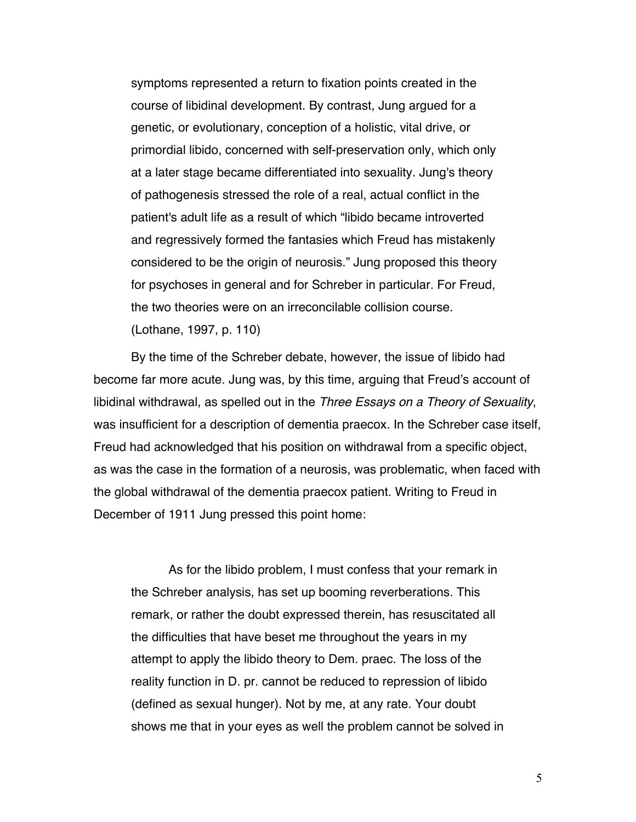symptoms represented a return to fixation points created in the course of libidinal development. By contrast, Jung argued for a genetic, or evolutionary, conception of a holistic, vital drive, or primordial libido, concerned with self-preservation only, which only at a later stage became differentiated into sexuality. Jung's theory of pathogenesis stressed the role of a real, actual conflict in the patient's adult life as a result of which "libido became introverted and regressively formed the fantasies which Freud has mistakenly considered to be the origin of neurosis." Jung proposed this theory for psychoses in general and for Schreber in particular. For Freud, the two theories were on an irreconcilable collision course. (Lothane, 1997, p. 110)

By the time of the Schreber debate, however, the issue of libido had become far more acute. Jung was, by this time, arguing that Freud's account of libidinal withdrawal, as spelled out in the *Three Essays on a Theory of Sexuality*, was insufficient for a description of dementia praecox. In the Schreber case itself, Freud had acknowledged that his position on withdrawal from a specific object, as was the case in the formation of a neurosis, was problematic, when faced with the global withdrawal of the dementia praecox patient. Writing to Freud in December of 1911 Jung pressed this point home:

As for the libido problem, I must confess that your remark in the Schreber analysis, has set up booming reverberations. This remark, or rather the doubt expressed therein, has resuscitated all the difficulties that have beset me throughout the years in my attempt to apply the libido theory to Dem. praec. The loss of the reality function in D. pr. cannot be reduced to repression of libido (defined as sexual hunger). Not by me, at any rate. Your doubt shows me that in your eyes as well the problem cannot be solved in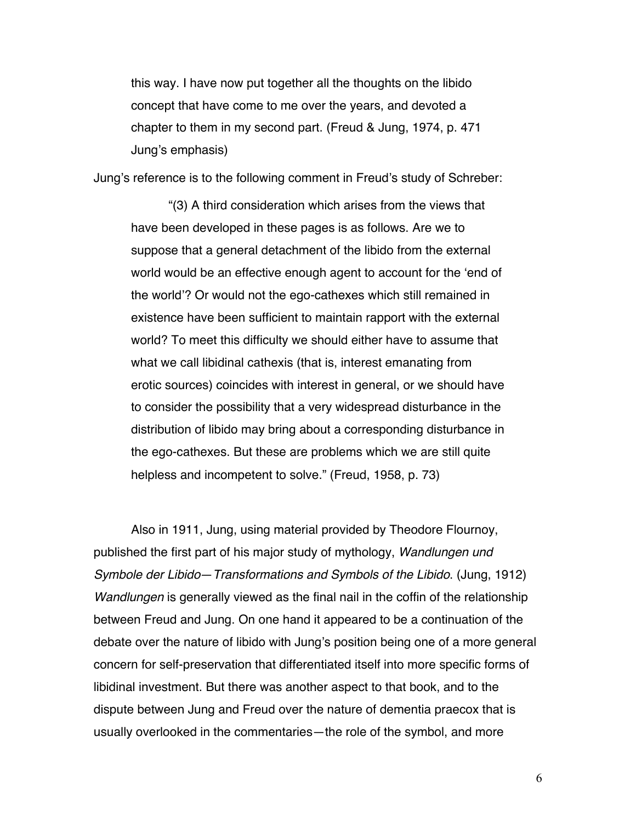this way. I have now put together all the thoughts on the libido concept that have come to me over the years, and devoted a chapter to them in my second part. (Freud & Jung, 1974, p. 471 Jung's emphasis)

Jung's reference is to the following comment in Freud's study of Schreber:

"(3) A third consideration which arises from the views that have been developed in these pages is as follows. Are we to suppose that a general detachment of the libido from the external world would be an effective enough agent to account for the 'end of the world'? Or would not the ego-cathexes which still remained in existence have been sufficient to maintain rapport with the external world? To meet this difficulty we should either have to assume that what we call libidinal cathexis (that is, interest emanating from erotic sources) coincides with interest in general, or we should have to consider the possibility that a very widespread disturbance in the distribution of libido may bring about a corresponding disturbance in the ego-cathexes. But these are problems which we are still quite helpless and incompetent to solve." (Freud, 1958, p. 73)

Also in 1911, Jung, using material provided by Theodore Flournoy, published the first part of his major study of mythology, *Wandlungen und Symbole der Libido*—*Transformations and Symbols of the Libido*. (Jung, 1912) *Wandlungen* is generally viewed as the final nail in the coffin of the relationship between Freud and Jung. On one hand it appeared to be a continuation of the debate over the nature of libido with Jung's position being one of a more general concern for self-preservation that differentiated itself into more specific forms of libidinal investment. But there was another aspect to that book, and to the dispute between Jung and Freud over the nature of dementia praecox that is usually overlooked in the commentaries—the role of the symbol, and more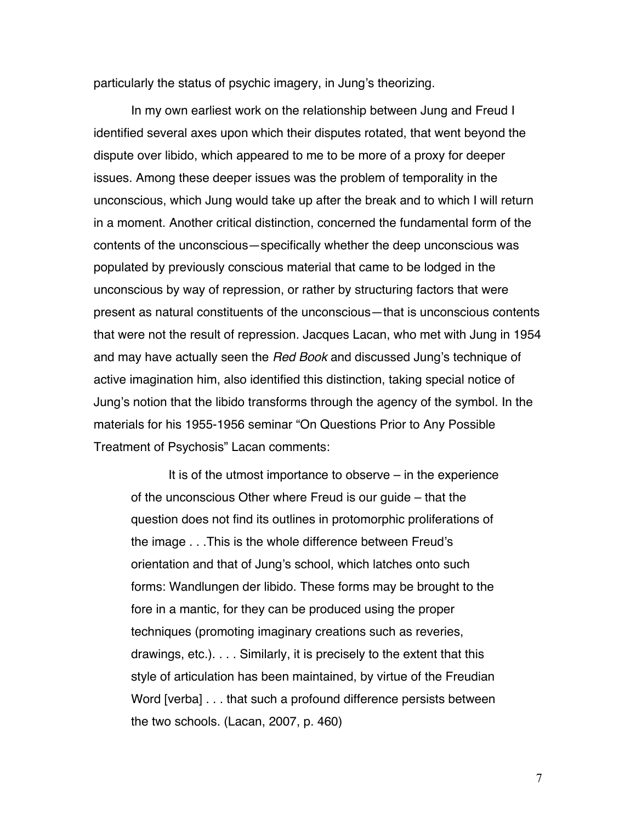particularly the status of psychic imagery, in Jung's theorizing.

In my own earliest work on the relationship between Jung and Freud I identified several axes upon which their disputes rotated, that went beyond the dispute over libido, which appeared to me to be more of a proxy for deeper issues. Among these deeper issues was the problem of temporality in the unconscious, which Jung would take up after the break and to which I will return in a moment. Another critical distinction, concerned the fundamental form of the contents of the unconscious—specifically whether the deep unconscious was populated by previously conscious material that came to be lodged in the unconscious by way of repression, or rather by structuring factors that were present as natural constituents of the unconscious—that is unconscious contents that were not the result of repression. Jacques Lacan, who met with Jung in 1954 and may have actually seen the *Red Book* and discussed Jung's technique of active imagination him, also identified this distinction, taking special notice of Jung's notion that the libido transforms through the agency of the symbol. In the materials for his 1955-1956 seminar "On Questions Prior to Any Possible Treatment of Psychosis" Lacan comments:

It is of the utmost importance to observe  $-$  in the experience of the unconscious Other where Freud is our guide – that the question does not find its outlines in protomorphic proliferations of the image . . .This is the whole difference between Freud's orientation and that of Jung's school, which latches onto such forms: Wandlungen der libido. These forms may be brought to the fore in a mantic, for they can be produced using the proper techniques (promoting imaginary creations such as reveries, drawings, etc.). . . . Similarly, it is precisely to the extent that this style of articulation has been maintained, by virtue of the Freudian Word [verba] . . . that such a profound difference persists between the two schools. (Lacan, 2007, p. 460)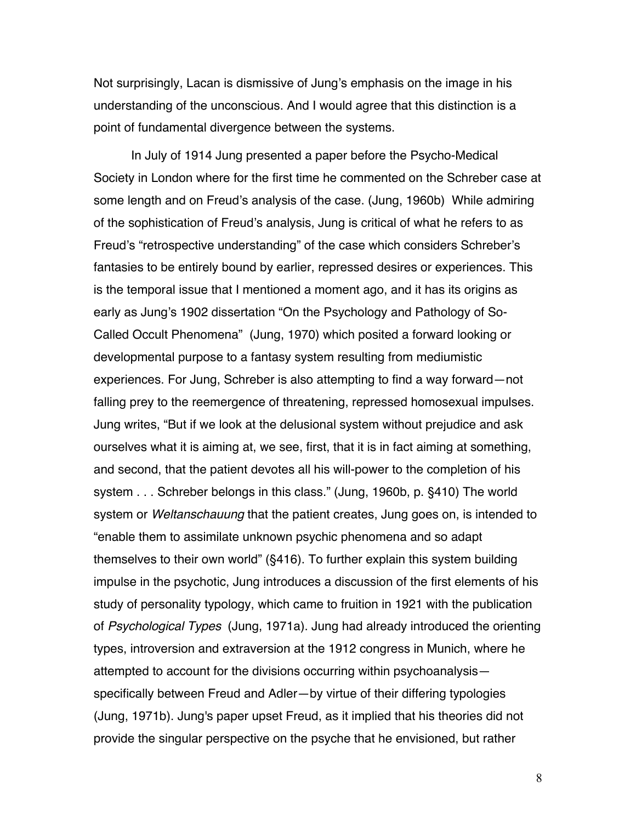Not surprisingly, Lacan is dismissive of Jung's emphasis on the image in his understanding of the unconscious. And I would agree that this distinction is a point of fundamental divergence between the systems.

In July of 1914 Jung presented a paper before the Psycho-Medical Society in London where for the first time he commented on the Schreber case at some length and on Freud's analysis of the case. (Jung, 1960b) While admiring of the sophistication of Freud's analysis, Jung is critical of what he refers to as Freud's "retrospective understanding" of the case which considers Schreber's fantasies to be entirely bound by earlier, repressed desires or experiences. This is the temporal issue that I mentioned a moment ago, and it has its origins as early as Jung's 1902 dissertation "On the Psychology and Pathology of So-Called Occult Phenomena" (Jung, 1970) which posited a forward looking or developmental purpose to a fantasy system resulting from mediumistic experiences. For Jung, Schreber is also attempting to find a way forward—not falling prey to the reemergence of threatening, repressed homosexual impulses. Jung writes, "But if we look at the delusional system without prejudice and ask ourselves what it is aiming at, we see, first, that it is in fact aiming at something, and second, that the patient devotes all his will-power to the completion of his system . . . Schreber belongs in this class." (Jung, 1960b, p. §410) The world system or *Weltanschauung* that the patient creates, Jung goes on, is intended to "enable them to assimilate unknown psychic phenomena and so adapt themselves to their own world" (§416). To further explain this system building impulse in the psychotic, Jung introduces a discussion of the first elements of his study of personality typology, which came to fruition in 1921 with the publication of *Psychological Types* (Jung, 1971a). Jung had already introduced the orienting types, introversion and extraversion at the 1912 congress in Munich, where he attempted to account for the divisions occurring within psychoanalysis specifically between Freud and Adler—by virtue of their differing typologies (Jung, 1971b). Jung's paper upset Freud, as it implied that his theories did not provide the singular perspective on the psyche that he envisioned, but rather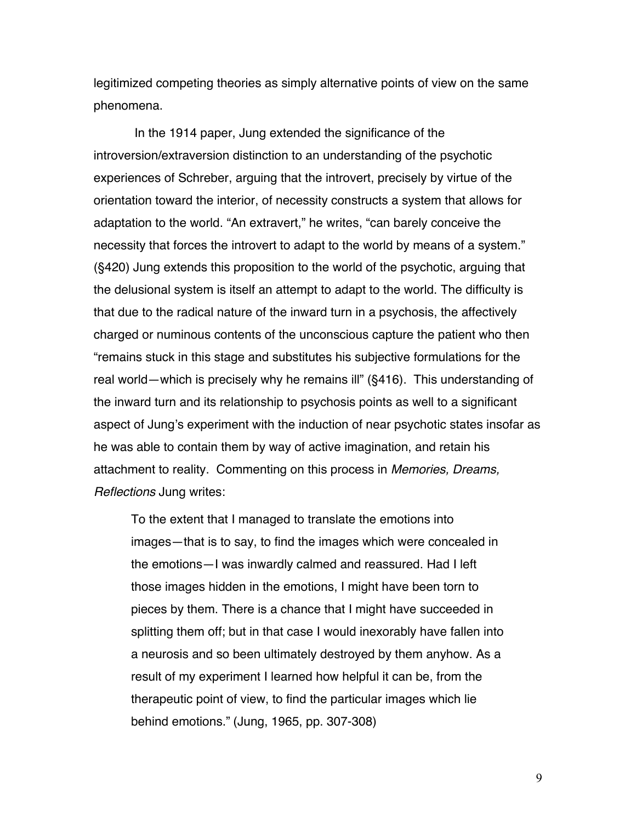legitimized competing theories as simply alternative points of view on the same phenomena.

In the 1914 paper, Jung extended the significance of the introversion/extraversion distinction to an understanding of the psychotic experiences of Schreber, arguing that the introvert, precisely by virtue of the orientation toward the interior, of necessity constructs a system that allows for adaptation to the world. "An extravert," he writes, "can barely conceive the necessity that forces the introvert to adapt to the world by means of a system." (§420) Jung extends this proposition to the world of the psychotic, arguing that the delusional system is itself an attempt to adapt to the world. The difficulty is that due to the radical nature of the inward turn in a psychosis, the affectively charged or numinous contents of the unconscious capture the patient who then "remains stuck in this stage and substitutes his subjective formulations for the real world—which is precisely why he remains ill" (§416). This understanding of the inward turn and its relationship to psychosis points as well to a significant aspect of Jung's experiment with the induction of near psychotic states insofar as he was able to contain them by way of active imagination, and retain his attachment to reality. Commenting on this process in *Memories, Dreams, Reflections* Jung writes:

To the extent that I managed to translate the emotions into images—that is to say, to find the images which were concealed in the emotions—I was inwardly calmed and reassured. Had I left those images hidden in the emotions, I might have been torn to pieces by them. There is a chance that I might have succeeded in splitting them off; but in that case I would inexorably have fallen into a neurosis and so been ultimately destroyed by them anyhow. As a result of my experiment I learned how helpful it can be, from the therapeutic point of view, to find the particular images which lie behind emotions." (Jung, 1965, pp. 307-308)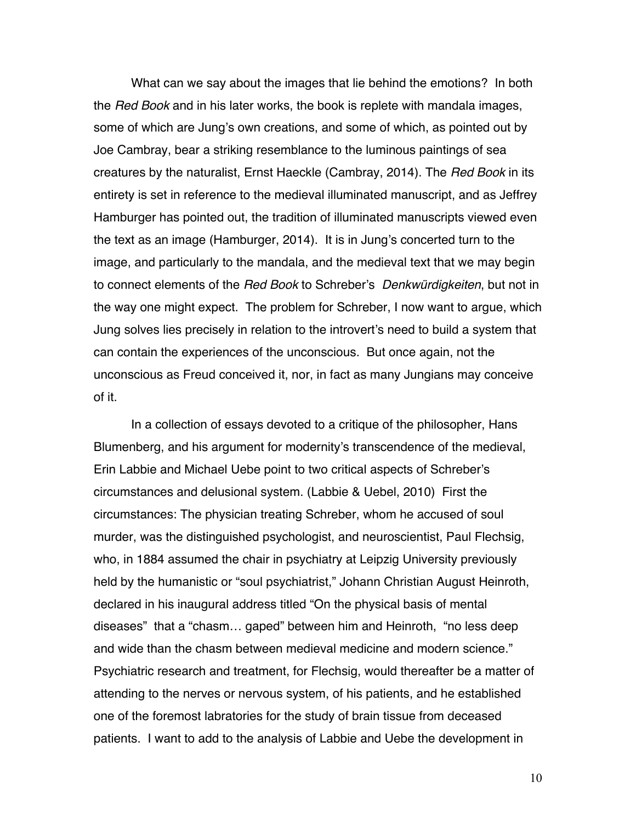What can we say about the images that lie behind the emotions? In both the *Red Book* and in his later works, the book is replete with mandala images, some of which are Jung's own creations, and some of which, as pointed out by Joe Cambray, bear a striking resemblance to the luminous paintings of sea creatures by the naturalist, Ernst Haeckle (Cambray, 2014). The *Red Book* in its entirety is set in reference to the medieval illuminated manuscript, and as Jeffrey Hamburger has pointed out, the tradition of illuminated manuscripts viewed even the text as an image (Hamburger, 2014). It is in Jung's concerted turn to the image, and particularly to the mandala, and the medieval text that we may begin to connect elements of the *Red Book* to Schreber's *Denkwürdigkeiten*, but not in the way one might expect. The problem for Schreber, I now want to argue, which Jung solves lies precisely in relation to the introvert's need to build a system that can contain the experiences of the unconscious. But once again, not the unconscious as Freud conceived it, nor, in fact as many Jungians may conceive of it.

In a collection of essays devoted to a critique of the philosopher, Hans Blumenberg, and his argument for modernity's transcendence of the medieval, Erin Labbie and Michael Uebe point to two critical aspects of Schreber's circumstances and delusional system. (Labbie & Uebel, 2010) First the circumstances: The physician treating Schreber, whom he accused of soul murder, was the distinguished psychologist, and neuroscientist, Paul Flechsig, who, in 1884 assumed the chair in psychiatry at Leipzig University previously held by the humanistic or "soul psychiatrist," Johann Christian August Heinroth, declared in his inaugural address titled "On the physical basis of mental diseases" that a "chasm… gaped" between him and Heinroth, "no less deep and wide than the chasm between medieval medicine and modern science." Psychiatric research and treatment, for Flechsig, would thereafter be a matter of attending to the nerves or nervous system, of his patients, and he established one of the foremost labratories for the study of brain tissue from deceased patients. I want to add to the analysis of Labbie and Uebe the development in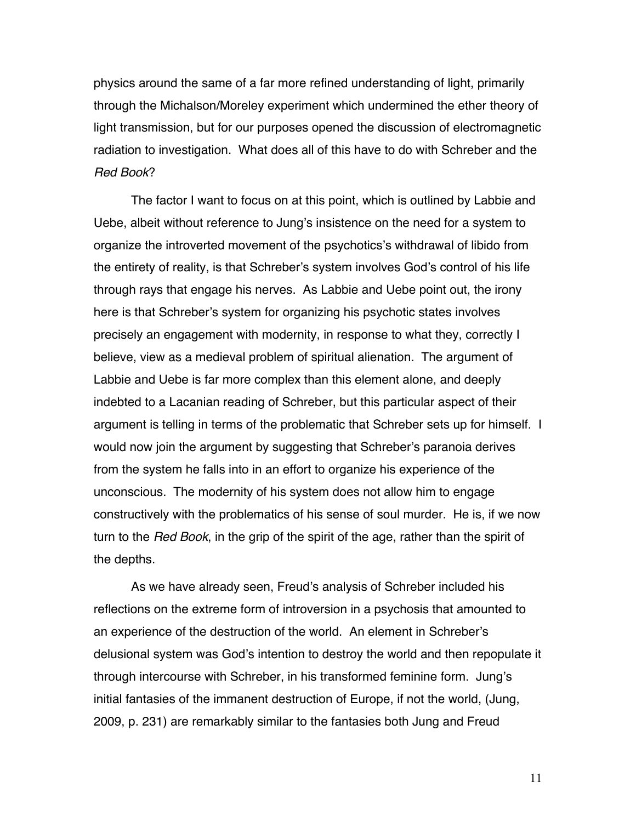physics around the same of a far more refined understanding of light, primarily through the Michalson/Moreley experiment which undermined the ether theory of light transmission, but for our purposes opened the discussion of electromagnetic radiation to investigation. What does all of this have to do with Schreber and the *Red Book*?

The factor I want to focus on at this point, which is outlined by Labbie and Uebe, albeit without reference to Jung's insistence on the need for a system to organize the introverted movement of the psychotics's withdrawal of libido from the entirety of reality, is that Schreber's system involves God's control of his life through rays that engage his nerves. As Labbie and Uebe point out, the irony here is that Schreber's system for organizing his psychotic states involves precisely an engagement with modernity, in response to what they, correctly I believe, view as a medieval problem of spiritual alienation. The argument of Labbie and Uebe is far more complex than this element alone, and deeply indebted to a Lacanian reading of Schreber, but this particular aspect of their argument is telling in terms of the problematic that Schreber sets up for himself. I would now join the argument by suggesting that Schreber's paranoia derives from the system he falls into in an effort to organize his experience of the unconscious. The modernity of his system does not allow him to engage constructively with the problematics of his sense of soul murder. He is, if we now turn to the *Red Book*, in the grip of the spirit of the age, rather than the spirit of the depths.

As we have already seen, Freud's analysis of Schreber included his reflections on the extreme form of introversion in a psychosis that amounted to an experience of the destruction of the world. An element in Schreber's delusional system was God's intention to destroy the world and then repopulate it through intercourse with Schreber, in his transformed feminine form. Jung's initial fantasies of the immanent destruction of Europe, if not the world, (Jung, 2009, p. 231) are remarkably similar to the fantasies both Jung and Freud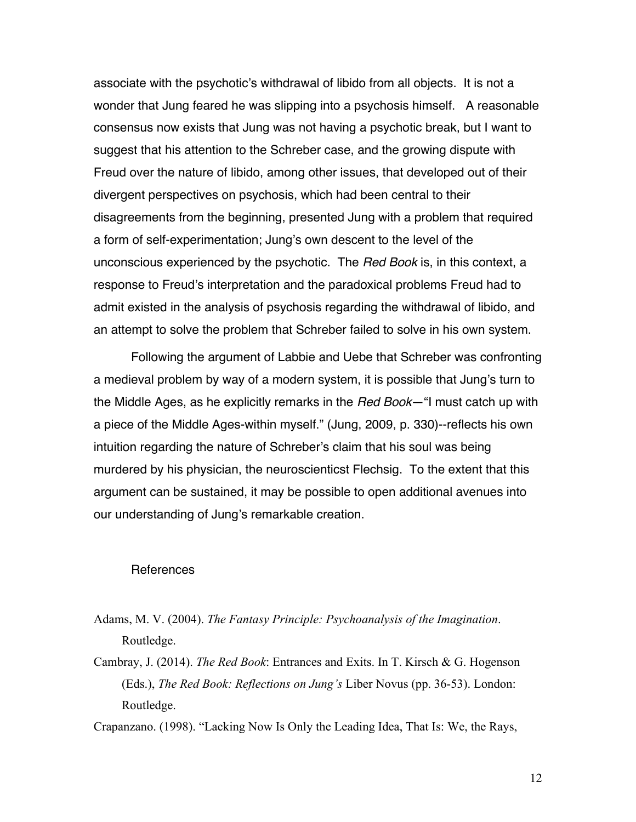associate with the psychotic's withdrawal of libido from all objects. It is not a wonder that Jung feared he was slipping into a psychosis himself. A reasonable consensus now exists that Jung was not having a psychotic break, but I want to suggest that his attention to the Schreber case, and the growing dispute with Freud over the nature of libido, among other issues, that developed out of their divergent perspectives on psychosis, which had been central to their disagreements from the beginning, presented Jung with a problem that required a form of self-experimentation; Jung's own descent to the level of the unconscious experienced by the psychotic. The *Red Book* is, in this context, a response to Freud's interpretation and the paradoxical problems Freud had to admit existed in the analysis of psychosis regarding the withdrawal of libido, and an attempt to solve the problem that Schreber failed to solve in his own system.

Following the argument of Labbie and Uebe that Schreber was confronting a medieval problem by way of a modern system, it is possible that Jung's turn to the Middle Ages, as he explicitly remarks in the *Red Book*—"I must catch up with a piece of the Middle Ages-within myself." (Jung, 2009, p. 330)--reflects his own intuition regarding the nature of Schreber's claim that his soul was being murdered by his physician, the neuroscienticst Flechsig. To the extent that this argument can be sustained, it may be possible to open additional avenues into our understanding of Jung's remarkable creation.

## **References**

- Adams, M. V. (2004). *The Fantasy Principle: Psychoanalysis of the Imagination*. Routledge.
- Cambray, J. (2014). *The Red Book*: Entrances and Exits. In T. Kirsch & G. Hogenson (Eds.), *The Red Book: Reflections on Jung's* Liber Novus (pp. 36-53). London: Routledge.

Crapanzano. (1998). "Lacking Now Is Only the Leading Idea, That Is: We, the Rays,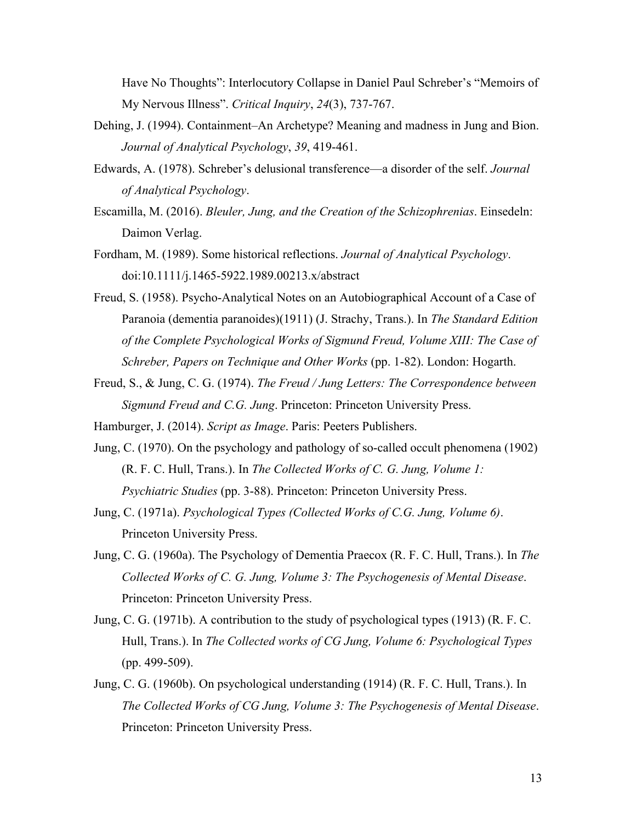Have No Thoughts": Interlocutory Collapse in Daniel Paul Schreber's "Memoirs of My Nervous Illness". *Critical Inquiry*, *24*(3), 737-767.

- Dehing, J. (1994). Containment–An Archetype? Meaning and madness in Jung and Bion. *Journal of Analytical Psychology*, *39*, 419-461.
- Edwards, A. (1978). Schreber's delusional transference—a disorder of the self. *Journal of Analytical Psychology*.
- Escamilla, M. (2016). *Bleuler, Jung, and the Creation of the Schizophrenias*. Einsedeln: Daimon Verlag.
- Fordham, M. (1989). Some historical reflections. *Journal of Analytical Psychology*. doi:10.1111/j.1465-5922.1989.00213.x/abstract
- Freud, S. (1958). Psycho-Analytical Notes on an Autobiographical Account of a Case of Paranoia (dementia paranoides)(1911) (J. Strachy, Trans.). In *The Standard Edition of the Complete Psychological Works of Sigmund Freud, Volume XIII: The Case of Schreber, Papers on Technique and Other Works* (pp. 1-82). London: Hogarth.
- Freud, S., & Jung, C. G. (1974). *The Freud / Jung Letters: The Correspondence between Sigmund Freud and C.G. Jung*. Princeton: Princeton University Press.

Hamburger, J. (2014). *Script as Image*. Paris: Peeters Publishers.

- Jung, C. (1970). On the psychology and pathology of so-called occult phenomena (1902) (R. F. C. Hull, Trans.). In *The Collected Works of C. G. Jung, Volume 1: Psychiatric Studies* (pp. 3-88). Princeton: Princeton University Press.
- Jung, C. (1971a). *Psychological Types (Collected Works of C.G. Jung, Volume 6)*. Princeton University Press.
- Jung, C. G. (1960a). The Psychology of Dementia Praecox (R. F. C. Hull, Trans.). In *The Collected Works of C. G. Jung, Volume 3: The Psychogenesis of Mental Disease*. Princeton: Princeton University Press.
- Jung, C. G. (1971b). A contribution to the study of psychological types (1913) (R. F. C. Hull, Trans.). In *The Collected works of CG Jung, Volume 6: Psychological Types* (pp. 499-509).
- Jung, C. G. (1960b). On psychological understanding (1914) (R. F. C. Hull, Trans.). In *The Collected Works of CG Jung, Volume 3: The Psychogenesis of Mental Disease*. Princeton: Princeton University Press.